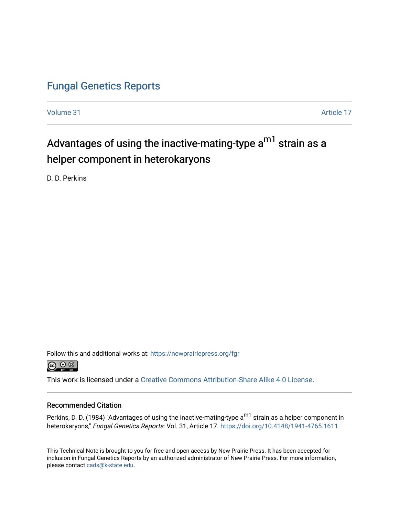## [Fungal Genetics Reports](https://newprairiepress.org/fgr)

[Volume 31](https://newprairiepress.org/fgr/vol31) Article 17

# Advantages of using the inactive-mating-type a<sup>m1</sup> strain as a helper component in heterokaryons

D. D. Perkins

Follow this and additional works at: [https://newprairiepress.org/fgr](https://newprairiepress.org/fgr?utm_source=newprairiepress.org%2Ffgr%2Fvol31%2Fiss1%2F17&utm_medium=PDF&utm_campaign=PDFCoverPages) 



This work is licensed under a [Creative Commons Attribution-Share Alike 4.0 License.](https://creativecommons.org/licenses/by-sa/4.0/)

#### Recommended Citation

Perkins, D. D. (1984) "Advantages of using the inactive-mating-type a<sup>m1</sup> strain as a helper component in heterokaryons," Fungal Genetics Reports: Vol. 31, Article 17.<https://doi.org/10.4148/1941-4765.1611>

This Technical Note is brought to you for free and open access by New Prairie Press. It has been accepted for inclusion in Fungal Genetics Reports by an authorized administrator of New Prairie Press. For more information, please contact [cads@k-state.edu.](mailto:cads@k-state.edu)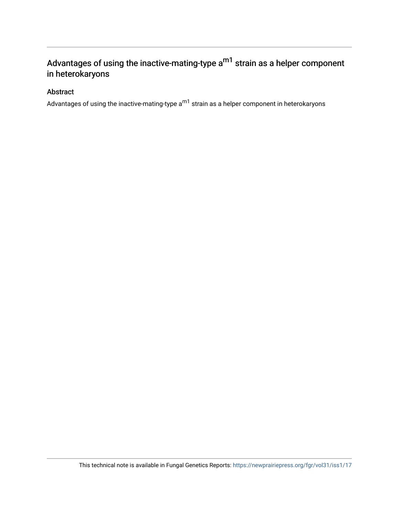## Advantages of using the inactive-mating-type  $a^{m1}$  strain as a helper component in heterokaryons

### Abstract

Advantages of using the inactive-mating-type  $a^{m1}$  strain as a helper component in heterokaryons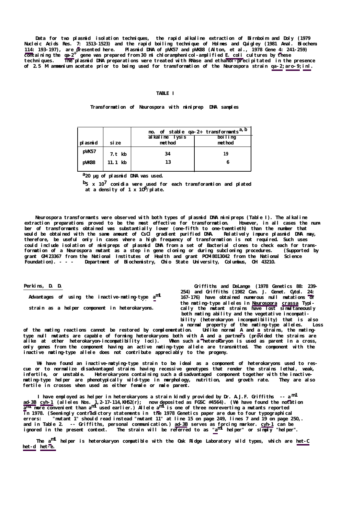**Perkins, D. D.**

**Advantages of using the inactive-mating-type am1**

**strain as a helper component in heterokaryons.**

**Griffiths and DeLange (1978 Genetics 88: 239- 254) and Griffiths (1982 Can. J. Genet. Cytol. 24: 167-176) have obtained numerous null mutations of the mating-type alleles in Neurospora crassa Typically the mutant strains have lost simultaneously both mating ability and the vegetative incompatibility (heterokaryon incompatibility) that is also a normal property of the mating-type alleles. Loss**

**of the mating reactions cannot be restored by complementation. Unlike normal A and a strains, the matingtype null mutants are capable of forming heterokaryons both with A and a partners (provided the strains are alike at other heterokaryon-incompatibility loci). When such a heterokaryon is used as parent in a cross, only genes from the component having an active mating-type allele are transmitted. The component with the inactive mating-type allele does not contribute appreciably to the progeny.**

We have found an inactive-matying-type strain to be ideal as a component of heterokaryons used to res**cue or to normalize disadvantaged strains having recessive genotypes that render the strains lethal, weak, infertile, or unstable. Heterokaryons containing such a disadvantaged component together with the inactivemating-type helper are phenotypically wild-type in morphology, nutrition, and growth rate. They are also fertile in crosses when used as either female or male parent.**

I have employed as helper in heterokaryons a strain kindly provided by Dr. A.J.F. Griffiths -- a<sup>m1</sup> **ad-3B cyh-1 (alleles Nos. 1,2-17-114,KH52(r); now deposited as FGSC #4564). (We have found the notation am1 more convenient than am1 used earlier.) Allele am1 is one of three nonreverting a mutants reported in 1978. (Seemingly contradictory statements in the 1978 Genetics paper are due to four typographical errors: "mutant 1" should read instead "mutant 11" at line 15 on page 249, lines 7 and 19 on page 250,. and in Table 2. -- Griffiths, personal communication.) ad-3B serves as forcing marker. cyh-1 can be ignored in the present context. The strain will be referred to as "am1 helper" or simply "helper".**

**The am1 helper is heterokaryon compatible with the Oak Ridge Laboratory wild types, which are het-C het-d het-e.**